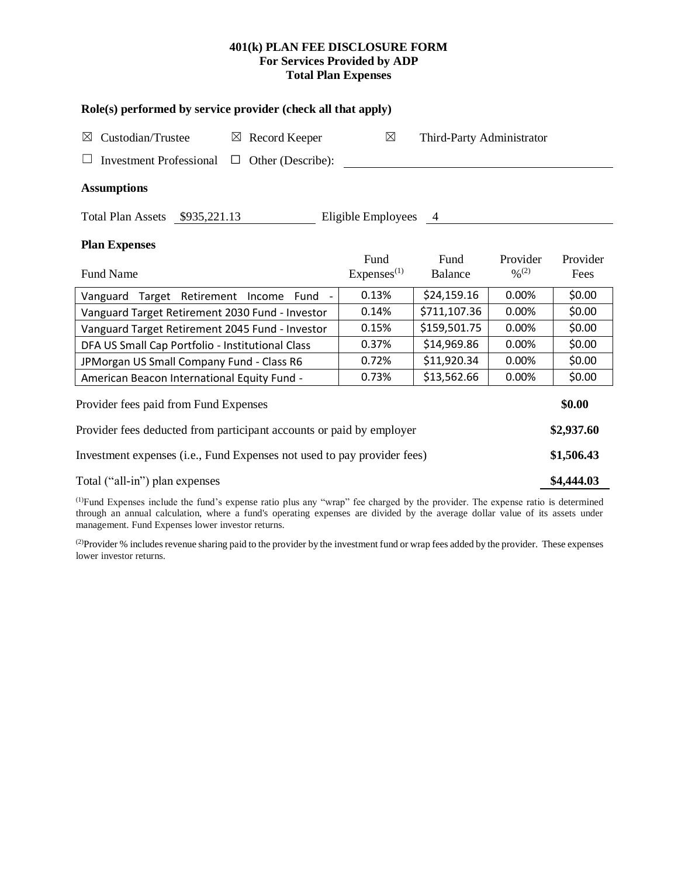# **401(k) PLAN FEE DISCLOSURE FORM For Services Provided by ADP Total Plan Expenses**

| Role(s) performed by service provider (check all that apply)            |                        |                           |                      |          |  |  |  |  |
|-------------------------------------------------------------------------|------------------------|---------------------------|----------------------|----------|--|--|--|--|
| Custodian/Trustee<br>Record Keeper<br>$\boxtimes$<br>$\boxtimes$        | $\boxtimes$            | Third-Party Administrator |                      |          |  |  |  |  |
| <b>Investment Professional</b><br>Other (Describe):<br>$\Box$           |                        |                           |                      |          |  |  |  |  |
| <b>Assumptions</b>                                                      |                        |                           |                      |          |  |  |  |  |
| Total Plan Assets \$935,221.13                                          | Eligible Employees     | $\overline{4}$            |                      |          |  |  |  |  |
| <b>Plan Expenses</b>                                                    |                        |                           |                      |          |  |  |  |  |
|                                                                         | Fund                   | Fund                      | Provider             | Provider |  |  |  |  |
| <b>Fund Name</b>                                                        | Express <sup>(1)</sup> | Balance                   | $0/2$ <sup>(2)</sup> | Fees     |  |  |  |  |
| Vanguard Target Retirement<br>Income<br>Fund                            | 0.13%                  | \$24,159.16               | 0.00%                | \$0.00   |  |  |  |  |
| Vanguard Target Retirement 2030 Fund - Investor                         | 0.14%                  | \$711,107.36              | 0.00%                | \$0.00   |  |  |  |  |
| Vanguard Target Retirement 2045 Fund - Investor                         | 0.15%                  | \$159,501.75              | 0.00%                | \$0.00   |  |  |  |  |
| DFA US Small Cap Portfolio - Institutional Class                        | 0.37%                  | \$14,969.86               | 0.00%                | \$0.00   |  |  |  |  |
| JPMorgan US Small Company Fund - Class R6                               | 0.72%                  | \$11,920.34               | 0.00%                | \$0.00   |  |  |  |  |
| American Beacon International Equity Fund -                             | 0.73%                  | \$13,562.66               | 0.00%                | \$0.00   |  |  |  |  |
| \$0.00<br>Provider fees paid from Fund Expenses                         |                        |                           |                      |          |  |  |  |  |
| Provider fees deducted from participant accounts or paid by employer    |                        |                           |                      |          |  |  |  |  |
| Investment expenses (i.e., Fund Expenses not used to pay provider fees) |                        |                           |                      |          |  |  |  |  |
| Total ("all-in") plan expenses                                          |                        |                           |                      |          |  |  |  |  |

(1)Fund Expenses include the fund's expense ratio plus any "wrap" fee charged by the provider. The expense ratio is determined through an annual calculation, where a fund's operating expenses are divided by the average dollar value of its assets under management. Fund Expenses lower investor returns.

<sup>(2)</sup>Provider % includes revenue sharing paid to the provider by the investment fund or wrap fees added by the provider. These expenses lower investor returns.